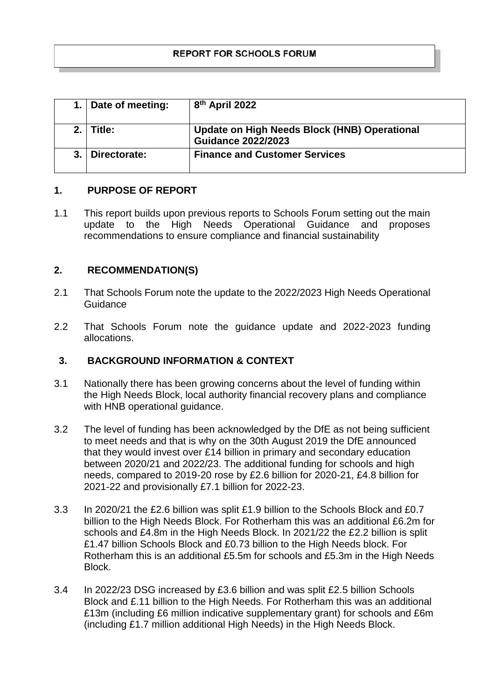| Date of meeting: | 8 <sup>th</sup> April 2022                                                |
|------------------|---------------------------------------------------------------------------|
| $2.1$ Title:     | Update on High Needs Block (HNB) Operational<br><b>Guidance 2022/2023</b> |
| Directorate:     | <b>Finance and Customer Services</b>                                      |

# **1. PURPOSE OF REPORT**

1.1 This report builds upon previous reports to Schools Forum setting out the main update to the High Needs Operational Guidance and proposes recommendations to ensure compliance and financial sustainability

### **2. RECOMMENDATION(S)**

- 2.1 That Schools Forum note the update to the 2022/2023 High Needs Operational Guidance
- 2.2 That Schools Forum note the guidance update and 2022-2023 funding allocations.

# **3. BACKGROUND INFORMATION & CONTEXT**

- 3.1 Nationally there has been growing concerns about the level of funding within the High Needs Block, local authority financial recovery plans and compliance with HNB operational guidance.
- 3.2 The level of funding has been acknowledged by the DfE as not being sufficient to meet needs and that is why on the 30th August 2019 the DfE announced that they would invest over £14 billion in primary and secondary education between 2020/21 and 2022/23. The additional funding for schools and high needs, compared to 2019-20 rose by £2.6 billion for 2020-21, £4.8 billion for 2021-22 and provisionally £7.1 billion for 2022-23.
- 3.3 In 2020/21 the £2.6 billion was split £1.9 billion to the Schools Block and £0.7 billion to the High Needs Block. For Rotherham this was an additional £6.2m for schools and £4.8m in the High Needs Block. In 2021/22 the £2.2 billion is split £1.47 billion Schools Block and £0.73 billion to the High Needs block. For Rotherham this is an additional £5.5m for schools and £5.3m in the High Needs Block.
- 3.4 In 2022/23 DSG increased by £3.6 billion and was split £2.5 billion Schools Block and £.11 billion to the High Needs. For Rotherham this was an additional £13m (including £6 million indicative supplementary grant) for schools and £6m (including £1.7 million additional High Needs) in the High Needs Block.